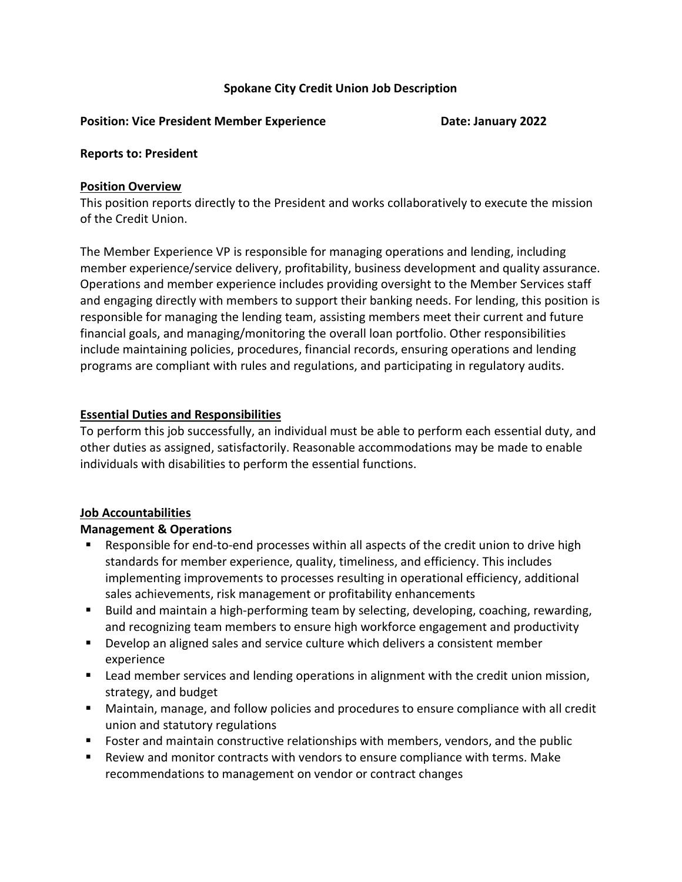## Spokane City Credit Union Job Description

#### Position: Vice President Member Experience **Date: Date: January 2022**

#### Reports to: President

### Position Overview

This position reports directly to the President and works collaboratively to execute the mission of the Credit Union.

The Member Experience VP is responsible for managing operations and lending, including member experience/service delivery, profitability, business development and quality assurance. Operations and member experience includes providing oversight to the Member Services staff and engaging directly with members to support their banking needs. For lending, this position is responsible for managing the lending team, assisting members meet their current and future financial goals, and managing/monitoring the overall loan portfolio. Other responsibilities include maintaining policies, procedures, financial records, ensuring operations and lending programs are compliant with rules and regulations, and participating in regulatory audits.

### Essential Duties and Responsibilities

To perform this job successfully, an individual must be able to perform each essential duty, and other duties as assigned, satisfactorily. Reasonable accommodations may be made to enable individuals with disabilities to perform the essential functions.

### Job Accountabilities

### Management & Operations

- Responsible for end-to-end processes within all aspects of the credit union to drive high standards for member experience, quality, timeliness, and efficiency. This includes implementing improvements to processes resulting in operational efficiency, additional sales achievements, risk management or profitability enhancements
- Build and maintain a high-performing team by selecting, developing, coaching, rewarding, and recognizing team members to ensure high workforce engagement and productivity
- **Develop an aligned sales and service culture which delivers a consistent member** experience
- **EXT** Lead member services and lending operations in alignment with the credit union mission, strategy, and budget
- Maintain, manage, and follow policies and procedures to ensure compliance with all credit union and statutory regulations
- Foster and maintain constructive relationships with members, vendors, and the public
- Review and monitor contracts with vendors to ensure compliance with terms. Make recommendations to management on vendor or contract changes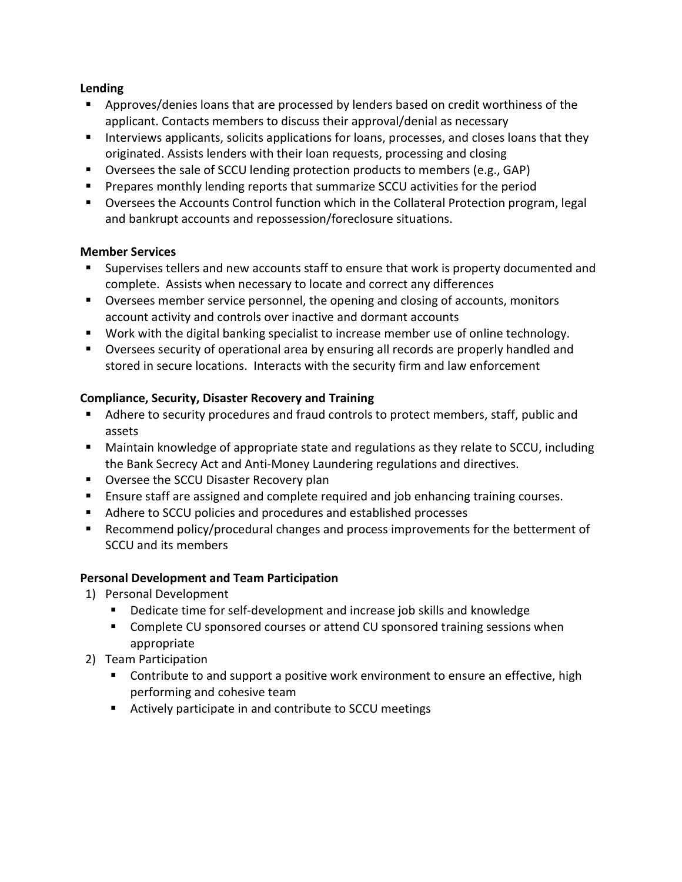## Lending

- Approves/denies loans that are processed by lenders based on credit worthiness of the applicant. Contacts members to discuss their approval/denial as necessary
- Interviews applicants, solicits applications for loans, processes, and closes loans that they originated. Assists lenders with their loan requests, processing and closing
- Oversees the sale of SCCU lending protection products to members (e.g., GAP)
- **Prepares monthly lending reports that summarize SCCU activities for the period**
- Oversees the Accounts Control function which in the Collateral Protection program, legal and bankrupt accounts and repossession/foreclosure situations.

## Member Services

- Supervises tellers and new accounts staff to ensure that work is property documented and complete. Assists when necessary to locate and correct any differences
- Oversees member service personnel, the opening and closing of accounts, monitors account activity and controls over inactive and dormant accounts
- Work with the digital banking specialist to increase member use of online technology.
- Oversees security of operational area by ensuring all records are properly handled and stored in secure locations. Interacts with the security firm and law enforcement

# Compliance, Security, Disaster Recovery and Training

- Adhere to security procedures and fraud controls to protect members, staff, public and assets
- Maintain knowledge of appropriate state and regulations as they relate to SCCU, including the Bank Secrecy Act and Anti-Money Laundering regulations and directives.
- **DECOU Disaster Recovery plan**
- **Ensure staff are assigned and complete required and job enhancing training courses.**
- Adhere to SCCU policies and procedures and established processes
- Recommend policy/procedural changes and process improvements for the betterment of SCCU and its members

# Personal Development and Team Participation

- 1) Personal Development
	- Dedicate time for self-development and increase job skills and knowledge
	- **Complete CU sponsored courses or attend CU sponsored training sessions when** appropriate
- 2) Team Participation
	- Contribute to and support a positive work environment to ensure an effective, high performing and cohesive team
	- Actively participate in and contribute to SCCU meetings